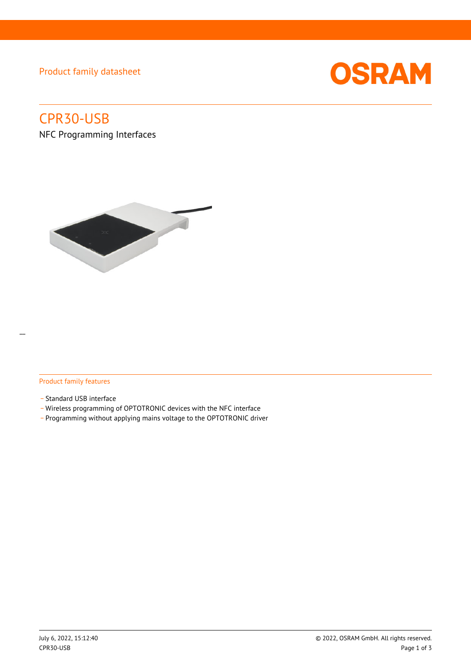Product family datasheet



# CPR30-USB

NFC Programming Interfaces



# Product family features

- Standard USB interface
- \_ Wireless programming of OPTOTRONIC devices with the NFC interface
- \_ Programming without applying mains voltage to the OPTOTRONIC driver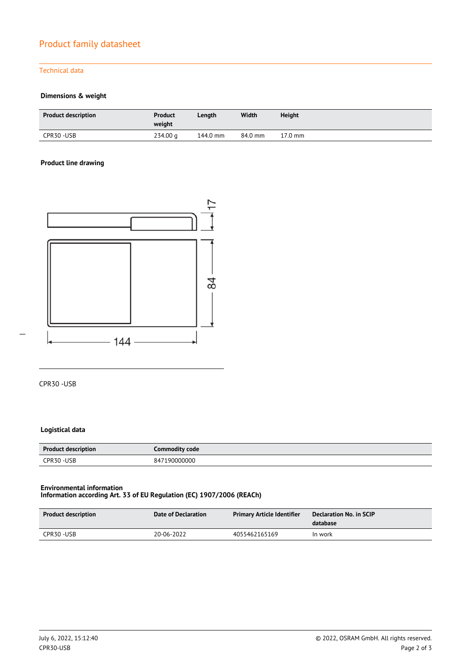# Product family datasheet

## Technical data

# **Dimensions & weight**

| <b>Product description</b> | <b>Product</b><br>weight | Length   | Width   | <b>Height</b>     |
|----------------------------|--------------------------|----------|---------|-------------------|
| CPR30-USB                  | 234.00 g                 | 144.0 mm | 84.0 mm | $17.0 \text{ mm}$ |

## **Product line drawing**



CPR30 -USB

# **Logistical data**

| <b>Product description</b> | Commodity code |  |
|----------------------------|----------------|--|
| CPR30-USB                  | 847190000000   |  |

#### **Environmental information Information according Art. 33 of EU Regulation (EC) 1907/2006 (REACh)**

| Product description | Date of Declaration | <b>Primary Article Identifier</b> | Declaration No. in SCIP<br>database |
|---------------------|---------------------|-----------------------------------|-------------------------------------|
| CPR30-USB           | 20-06-2022          | 4055462165169                     | In work                             |